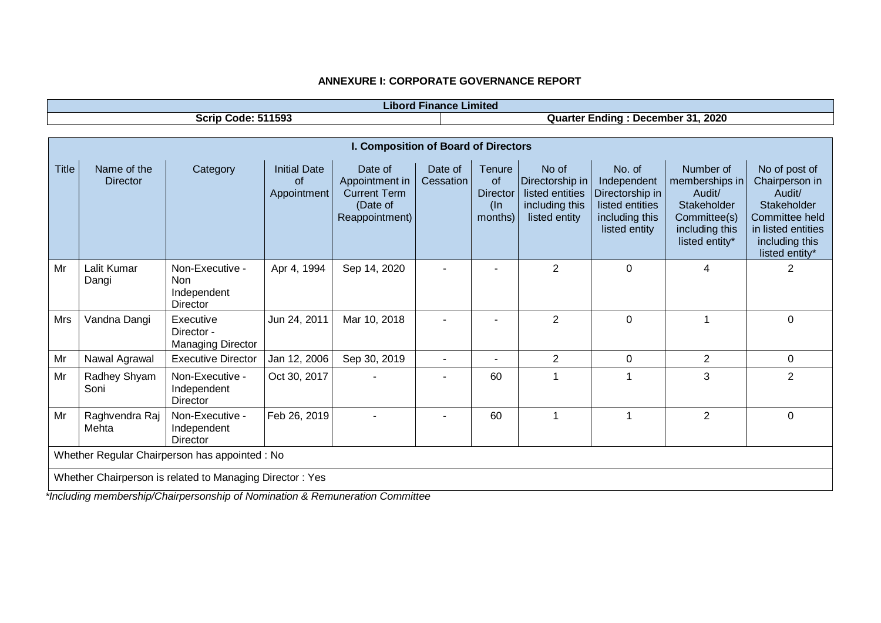| .<br>∟lbo <sup>∶</sup><br>►ınance  | .ımıted                                                                |
|------------------------------------|------------------------------------------------------------------------|
| :11503<br>crırد<br>code<br>1 J J J | , 2020<br>. .<br>∟ndına <sup>.</sup><br>. December i<br><b>Quarter</b> |

|              | I. Composition of Board of Directors                     |                                                          |                                                 |                                                                                |                      |                                                             |                                                                                |                                                                                                |                                                                                                          |                                                                                                                                      |
|--------------|----------------------------------------------------------|----------------------------------------------------------|-------------------------------------------------|--------------------------------------------------------------------------------|----------------------|-------------------------------------------------------------|--------------------------------------------------------------------------------|------------------------------------------------------------------------------------------------|----------------------------------------------------------------------------------------------------------|--------------------------------------------------------------------------------------------------------------------------------------|
| <b>Title</b> | Name of the<br><b>Director</b>                           | Category                                                 | <b>Initial Date</b><br><b>of</b><br>Appointment | Date of<br>Appointment in<br><b>Current Term</b><br>(Date of<br>Reappointment) | Date of<br>Cessation | Tenure<br><b>of</b><br><b>Director</b><br>$($ ln<br>months) | No of<br>Directorship in<br>listed entities<br>including this<br>listed entity | No. of<br>Independent<br>Directorship in<br>listed entities<br>including this<br>listed entity | Number of<br>memberships in<br>Audit/<br>Stakeholder<br>Committee(s)<br>including this<br>listed entity* | No of post of<br>Chairperson in<br>Audit/<br>Stakeholder<br>Committee held<br>in listed entities<br>including this<br>listed entity* |
| Mr           | Lalit Kumar<br>Dangi                                     | Non-Executive -<br><b>Non</b><br>Independent<br>Director | Apr 4, 1994                                     | Sep 14, 2020                                                                   |                      |                                                             | $\overline{2}$                                                                 | $\mathbf 0$                                                                                    | 4                                                                                                        | 2                                                                                                                                    |
| Mrs          | Vandna Dangi                                             | Executive<br>Director -<br><b>Managing Director</b>      | Jun 24, 2011                                    | Mar 10, 2018                                                                   |                      |                                                             | $\overline{2}$                                                                 | $\Omega$                                                                                       |                                                                                                          | $\mathbf{0}$                                                                                                                         |
| Mr           | Nawal Agrawal                                            | <b>Executive Director</b>                                | Jan 12, 2006                                    | Sep 30, 2019                                                                   |                      | ۰                                                           | $\overline{2}$                                                                 | 0                                                                                              | $\overline{2}$                                                                                           | 0                                                                                                                                    |
| Mr           | Radhey Shyam<br>Soni                                     | Non-Executive -<br>Independent<br>Director               | Oct 30, 2017                                    |                                                                                |                      | 60                                                          |                                                                                |                                                                                                | 3                                                                                                        | $\overline{2}$                                                                                                                       |
| Mr           | Raghvendra Raj<br>Mehta                                  | Non-Executive -<br>Independent<br><b>Director</b>        | Feb 26, 2019                                    |                                                                                |                      | 60                                                          |                                                                                |                                                                                                | 2                                                                                                        | $\Omega$                                                                                                                             |
|              | Whether Regular Chairperson has appointed : No           |                                                          |                                                 |                                                                                |                      |                                                             |                                                                                |                                                                                                |                                                                                                          |                                                                                                                                      |
|              | Whether Chairperson is related to Managing Director: Yes |                                                          |                                                 |                                                                                |                      |                                                             |                                                                                |                                                                                                |                                                                                                          |                                                                                                                                      |

*\*Including membership/Chairpersonship of Nomination & Remuneration Committee*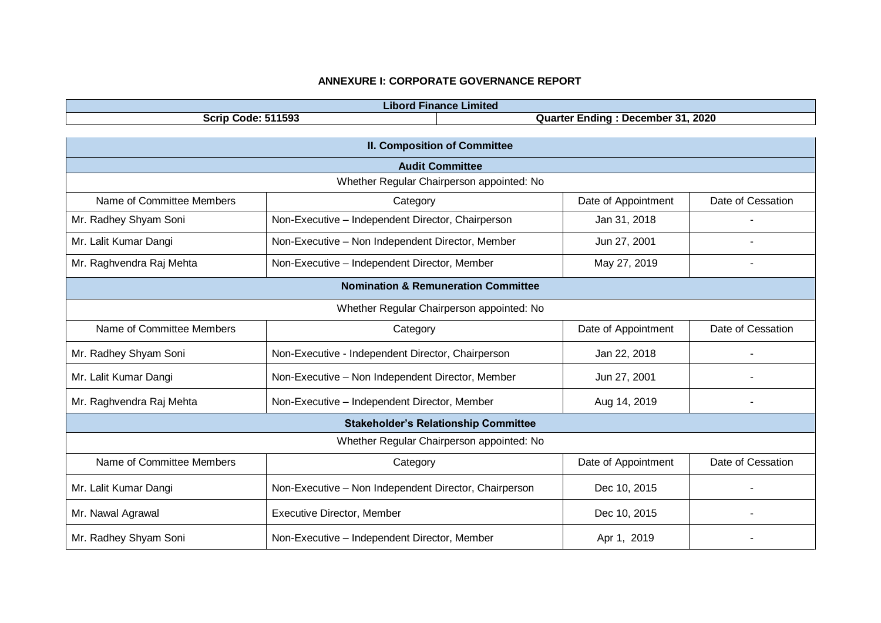| .<br>Libord Finance Limited |                                        |  |  |  |
|-----------------------------|----------------------------------------|--|--|--|
| Code: 511593<br>Scrip (     | December 31, 2020<br>Ending<br>Quarter |  |  |  |

| <b>II. Composition of Committee</b>       |                                                       |                     |                   |  |  |  |  |  |
|-------------------------------------------|-------------------------------------------------------|---------------------|-------------------|--|--|--|--|--|
| <b>Audit Committee</b>                    |                                                       |                     |                   |  |  |  |  |  |
| Whether Regular Chairperson appointed: No |                                                       |                     |                   |  |  |  |  |  |
| Name of Committee Members                 | Category                                              | Date of Appointment | Date of Cessation |  |  |  |  |  |
| Mr. Radhey Shyam Soni                     | Non-Executive - Independent Director, Chairperson     | Jan 31, 2018        |                   |  |  |  |  |  |
| Mr. Lalit Kumar Dangi                     | Non-Executive - Non Independent Director, Member      | Jun 27, 2001        |                   |  |  |  |  |  |
| Mr. Raghvendra Raj Mehta                  | Non-Executive - Independent Director, Member          | May 27, 2019        |                   |  |  |  |  |  |
|                                           | <b>Nomination &amp; Remuneration Committee</b>        |                     |                   |  |  |  |  |  |
| Whether Regular Chairperson appointed: No |                                                       |                     |                   |  |  |  |  |  |
| Name of Committee Members                 | Category                                              | Date of Appointment | Date of Cessation |  |  |  |  |  |
| Mr. Radhey Shyam Soni                     | Non-Executive - Independent Director, Chairperson     | Jan 22, 2018        |                   |  |  |  |  |  |
| Mr. Lalit Kumar Dangi                     | Non-Executive - Non Independent Director, Member      | Jun 27, 2001        |                   |  |  |  |  |  |
| Mr. Raghvendra Raj Mehta                  | Non-Executive - Independent Director, Member          | Aug 14, 2019        |                   |  |  |  |  |  |
|                                           | <b>Stakeholder's Relationship Committee</b>           |                     |                   |  |  |  |  |  |
|                                           | Whether Regular Chairperson appointed: No             |                     |                   |  |  |  |  |  |
| Name of Committee Members                 | Category                                              | Date of Appointment | Date of Cessation |  |  |  |  |  |
| Mr. Lalit Kumar Dangi                     | Non-Executive - Non Independent Director, Chairperson | Dec 10, 2015        |                   |  |  |  |  |  |
| Mr. Nawal Agrawal                         | <b>Executive Director, Member</b>                     | Dec 10, 2015        |                   |  |  |  |  |  |
| Mr. Radhey Shyam Soni                     | Non-Executive - Independent Director, Member          | Apr 1, 2019         |                   |  |  |  |  |  |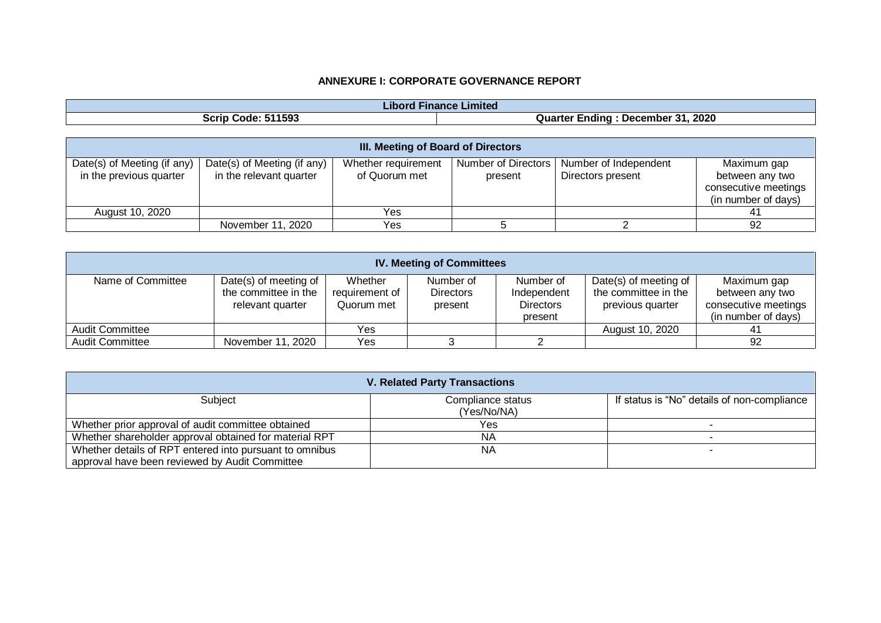| .<br>Limited<br>-inance<br>∟ıbord |                                                         |  |  |  |  |
|-----------------------------------|---------------------------------------------------------|--|--|--|--|
| 511593<br>Code.<br>scrip<br>.     | 2020<br>ົາເ<br>Quarter<br>: December<br>Endınc<br>. ا د |  |  |  |  |

| III. Meeting of Board of Directors                     |                                                        |                                      |         |                                                                  |                                                                               |  |  |  |  |
|--------------------------------------------------------|--------------------------------------------------------|--------------------------------------|---------|------------------------------------------------------------------|-------------------------------------------------------------------------------|--|--|--|--|
| Date(s) of Meeting (if any)<br>in the previous quarter | Date(s) of Meeting (if any)<br>in the relevant quarter | Whether requirement<br>of Quorum met | present | Number of Directors   Number of Independent<br>Directors present | Maximum gap<br>between any two<br>consecutive meetings<br>(in number of days) |  |  |  |  |
| August 10, 2020                                        |                                                        | Yes                                  |         |                                                                  | 41                                                                            |  |  |  |  |
|                                                        | November 11, 2020                                      | Yes                                  |         |                                                                  | 92                                                                            |  |  |  |  |

| <b>IV. Meeting of Committees</b> |                                                                   |                                         |                                          |                                                         |                                                                   |                                                                               |  |  |
|----------------------------------|-------------------------------------------------------------------|-----------------------------------------|------------------------------------------|---------------------------------------------------------|-------------------------------------------------------------------|-------------------------------------------------------------------------------|--|--|
| Name of Committee                | Date(s) of meeting of<br>the committee in the<br>relevant quarter | Whether<br>requirement of<br>Quorum met | Number of<br><b>Directors</b><br>present | Number of<br>Independent<br><b>Directors</b><br>present | Date(s) of meeting of<br>the committee in the<br>previous quarter | Maximum gap<br>between any two<br>consecutive meetings<br>(in number of days) |  |  |
| <b>Audit Committee</b>           |                                                                   | Yes                                     |                                          |                                                         | August 10, 2020                                                   | 4 <sup>′</sup>                                                                |  |  |
| <b>Audit Committee</b>           | November 11, 2020                                                 | Yes                                     |                                          |                                                         |                                                                   | 92                                                                            |  |  |

| V. Related Party Transactions                                                                             |                                  |                                             |  |  |  |  |
|-----------------------------------------------------------------------------------------------------------|----------------------------------|---------------------------------------------|--|--|--|--|
| Subject                                                                                                   | Compliance status<br>(Yes/No/NA) | If status is "No" details of non-compliance |  |  |  |  |
| Whether prior approval of audit committee obtained                                                        | Yes                              |                                             |  |  |  |  |
| Whether shareholder approval obtained for material RPT                                                    | ΝA                               |                                             |  |  |  |  |
| Whether details of RPT entered into pursuant to omnibus<br>approval have been reviewed by Audit Committee | ΝA                               |                                             |  |  |  |  |